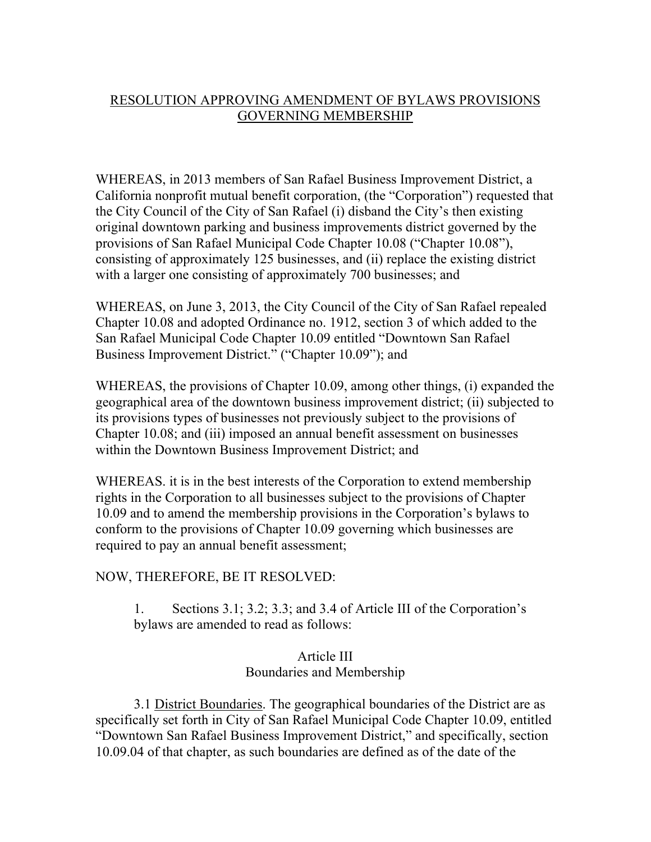## RESOLUTION APPROVING AMENDMENT OF BYLAWS PROVISIONS GOVERNING MEMBERSHIP

WHEREAS, in 2013 members of San Rafael Business Improvement District, a California nonprofit mutual benefit corporation, (the "Corporation") requested that the City Council of the City of San Rafael (i) disband the City's then existing original downtown parking and business improvements district governed by the provisions of San Rafael Municipal Code Chapter 10.08 ("Chapter 10.08"), consisting of approximately 125 businesses, and (ii) replace the existing district with a larger one consisting of approximately 700 businesses; and

WHEREAS, on June 3, 2013, the City Council of the City of San Rafael repealed Chapter 10.08 and adopted Ordinance no. 1912, section 3 of which added to the San Rafael Municipal Code Chapter 10.09 entitled "Downtown San Rafael Business Improvement District." ("Chapter 10.09"); and

WHEREAS, the provisions of Chapter 10.09, among other things, (i) expanded the geographical area of the downtown business improvement district; (ii) subjected to its provisions types of businesses not previously subject to the provisions of Chapter 10.08; and (iii) imposed an annual benefit assessment on businesses within the Downtown Business Improvement District; and

WHEREAS. it is in the best interests of the Corporation to extend membership rights in the Corporation to all businesses subject to the provisions of Chapter 10.09 and to amend the membership provisions in the Corporation's bylaws to conform to the provisions of Chapter 10.09 governing which businesses are required to pay an annual benefit assessment;

## NOW, THEREFORE, BE IT RESOLVED:

1. Sections 3.1; 3.2; 3.3; and 3.4 of Article III of the Corporation's bylaws are amended to read as follows:

## Article III Boundaries and Membership

3.1 District Boundaries. The geographical boundaries of the District are as specifically set forth in City of San Rafael Municipal Code Chapter 10.09, entitled "Downtown San Rafael Business Improvement District," and specifically, section 10.09.04 of that chapter, as such boundaries are defined as of the date of the